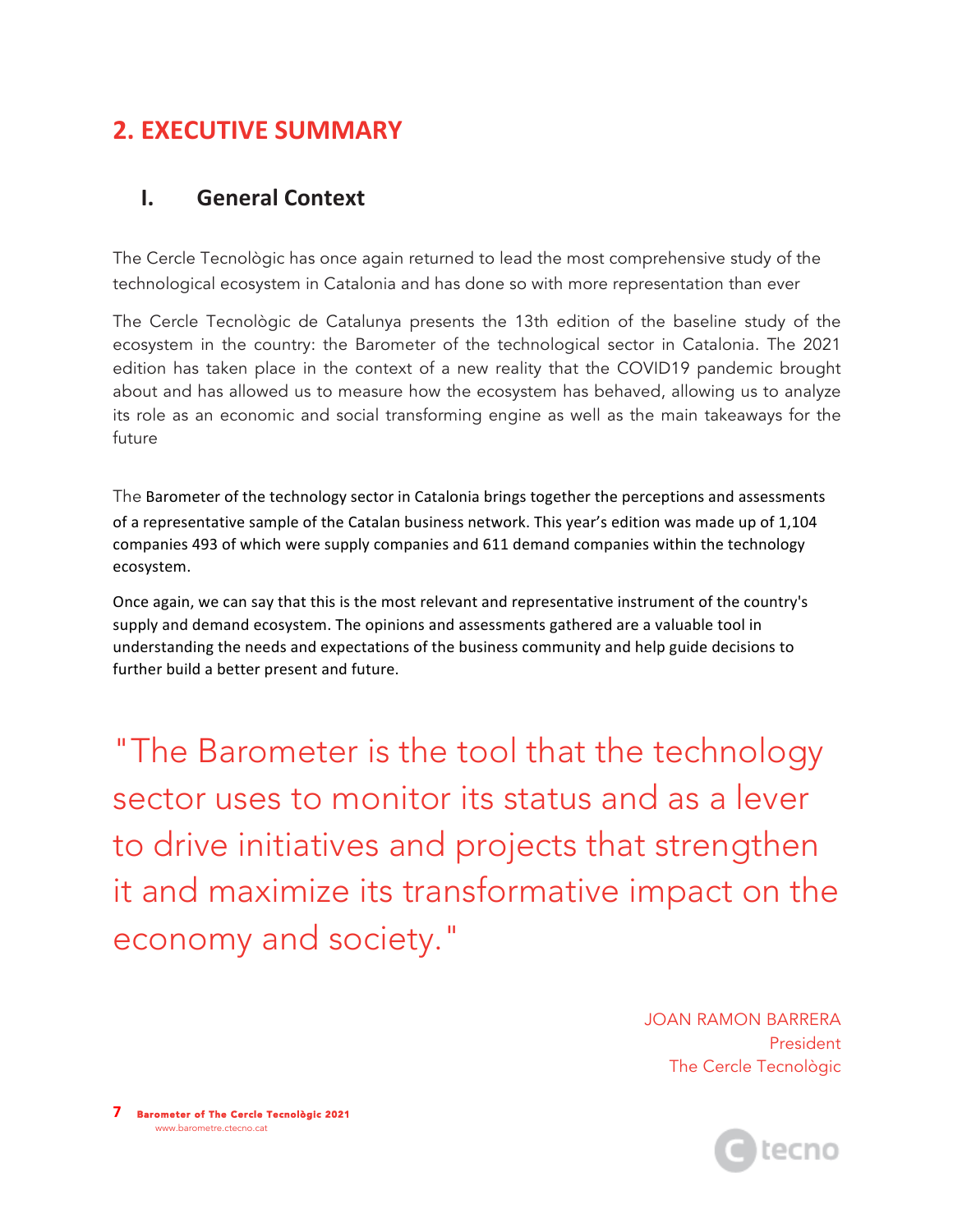# **2. EXECUTIVE SUMMARY**

#### **I. General Context**

The Cercle Tecnològic has once again returned to lead the most comprehensive study of the technological ecosystem in Catalonia and has done so with more representation than ever

The Cercle Tecnològic de Catalunya presents the 13th edition of the baseline study of the ecosystem in the country: the Barometer of the technological sector in Catalonia. The 2021 edition has taken place in the context of a new reality that the COVID19 pandemic brought about and has allowed us to measure how the ecosystem has behaved, allowing us to analyze its role as an economic and social transforming engine as well as the main takeaways for the future

The Barometer of the technology sector in Catalonia brings together the perceptions and assessments of a representative sample of the Catalan business network. This year's edition was made up of 1,104 companies 493 of which were supply companies and 611 demand companies within the technology ecosystem.

Once again, we can say that this is the most relevant and representative instrument of the country's supply and demand ecosystem. The opinions and assessments gathered are a valuable tool in understanding the needs and expectations of the business community and help guide decisions to further build a better present and future.

"The Barometer is the tool that the technology sector uses to monitor its status and as a lever to drive initiatives and projects that strengthen it and maximize its transformative impact on the economy and society."

> JOAN RAMON BARRERA President The Cercle Tecnològic

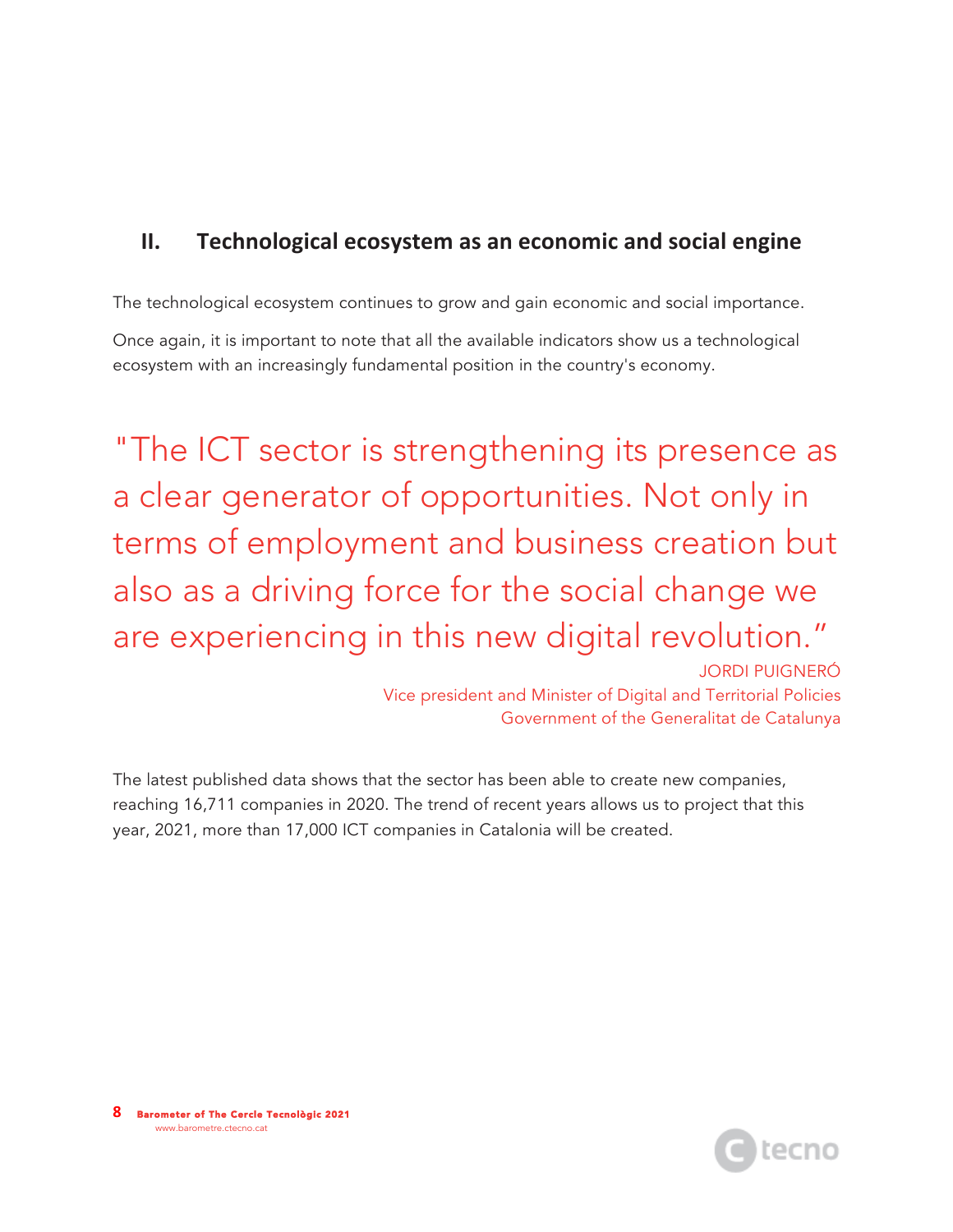### **II.** Technological ecosystem as an economic and social engine

The technological ecosystem continues to grow and gain economic and social importance.

Once again, it is important to note that all the available indicators show us a technological ecosystem with an increasingly fundamental position in the country's economy.

"The ICT sector is strengthening its presence as a clear generator of opportunities. Not only in terms of employment and business creation but also as a driving force for the social change we are experiencing in this new digital revolution."

JORDI PUIGNERÓ Vice president and Minister of Digital and Territorial Policies Government of the Generalitat de Catalunya

The latest published data shows that the sector has been able to create new companies, reaching 16,711 companies in 2020. The trend of recent years allows us to project that this year, 2021, more than 17,000 ICT companies in Catalonia will be created.

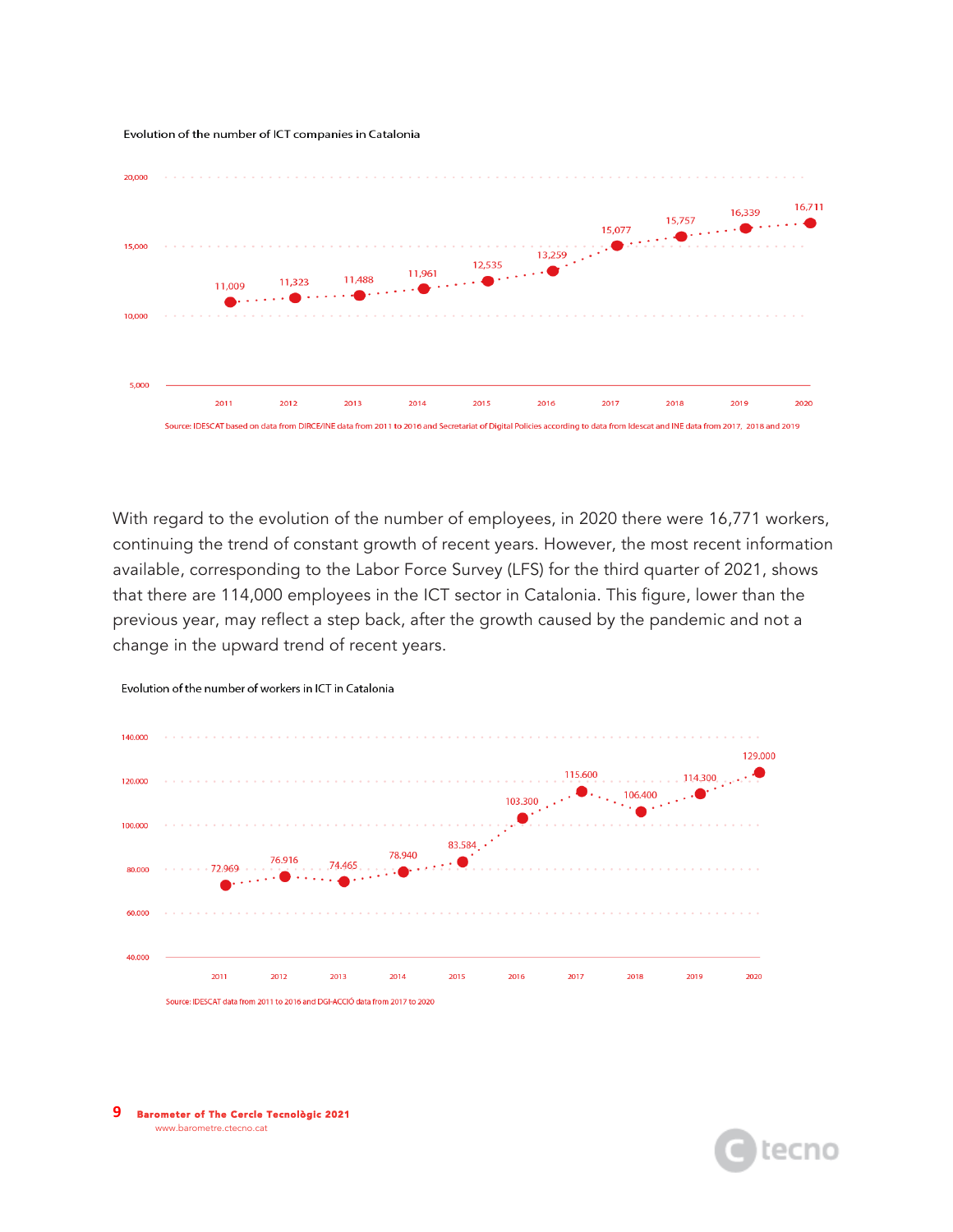Evolution of the number of ICT companies in Catalonia



With regard to the evolution of the number of employees, in 2020 there were 16,771 workers, continuing the trend of constant growth of recent years. However, the most recent information available, corresponding to the Labor Force Survey (LFS) for the third quarter of 2021, shows that there are 114,000 employees in the ICT sector in Catalonia. This figure, lower than the previous year, may reflect a step back, after the growth caused by the pandemic and not a change in the upward trend of recent years.



Evolution of the number of workers in ICT in Catalonia

**9** Barometer of The Cercle Tecnològic 2021 www.barometre.ctecno.cat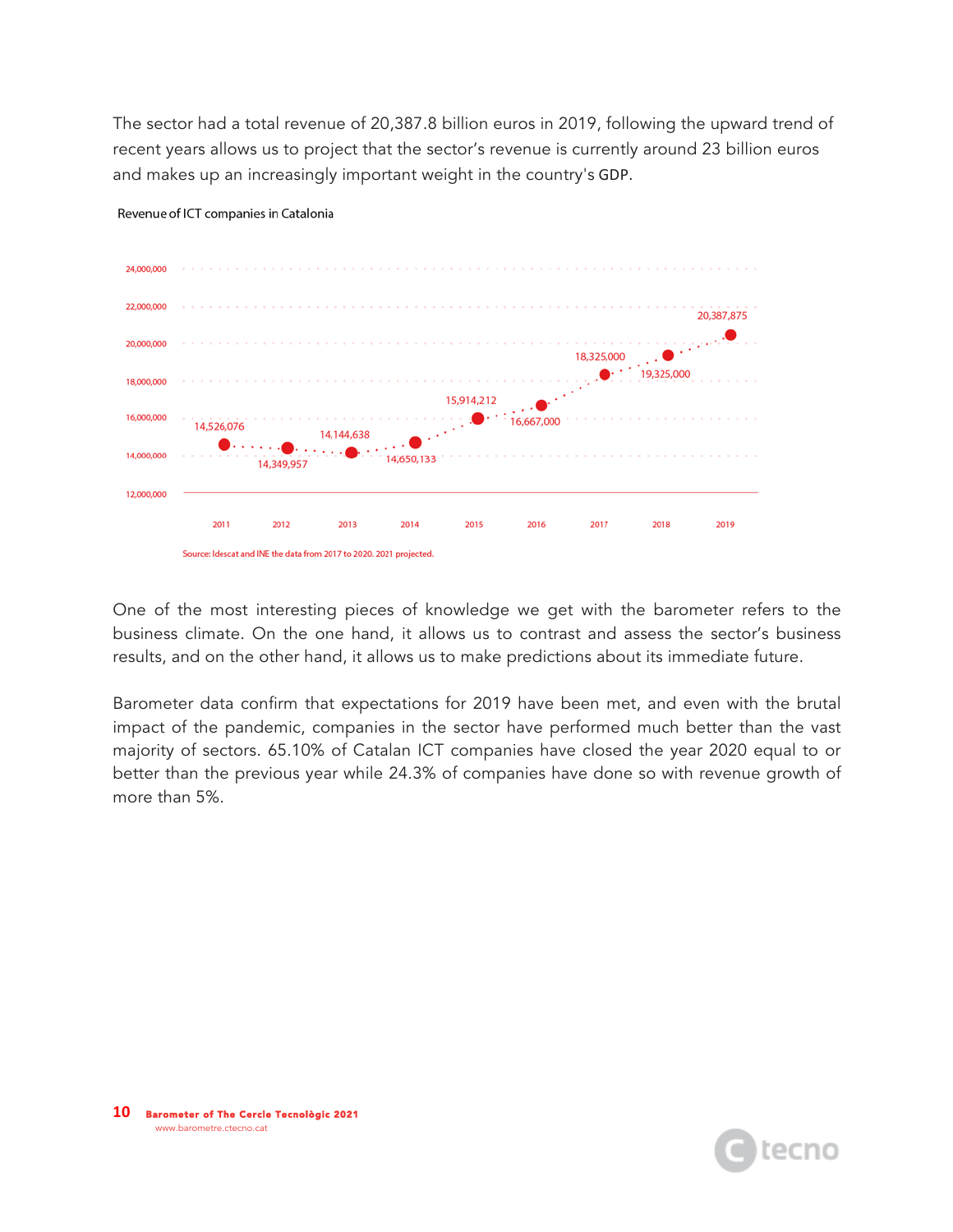The sector had a total revenue of 20,387.8 billion euros in 2019, following the upward trend of recent years allows us to project that the sector's revenue is currently around 23 billion euros and makes up an increasingly important weight in the country's GDP.



Revenue of ICT companies in Catalonia

One of the most interesting pieces of knowledge we get with the barometer refers to the business climate. On the one hand, it allows us to contrast and assess the sector's business results, and on the other hand, it allows us to make predictions about its immediate future.

Barometer data confirm that expectations for 2019 have been met, and even with the brutal impact of the pandemic, companies in the sector have performed much better than the vast majority of sectors. 65.10% of Catalan ICT companies have closed the year 2020 equal to or better than the previous year while 24.3% of companies have done so with revenue growth of more than 5%.

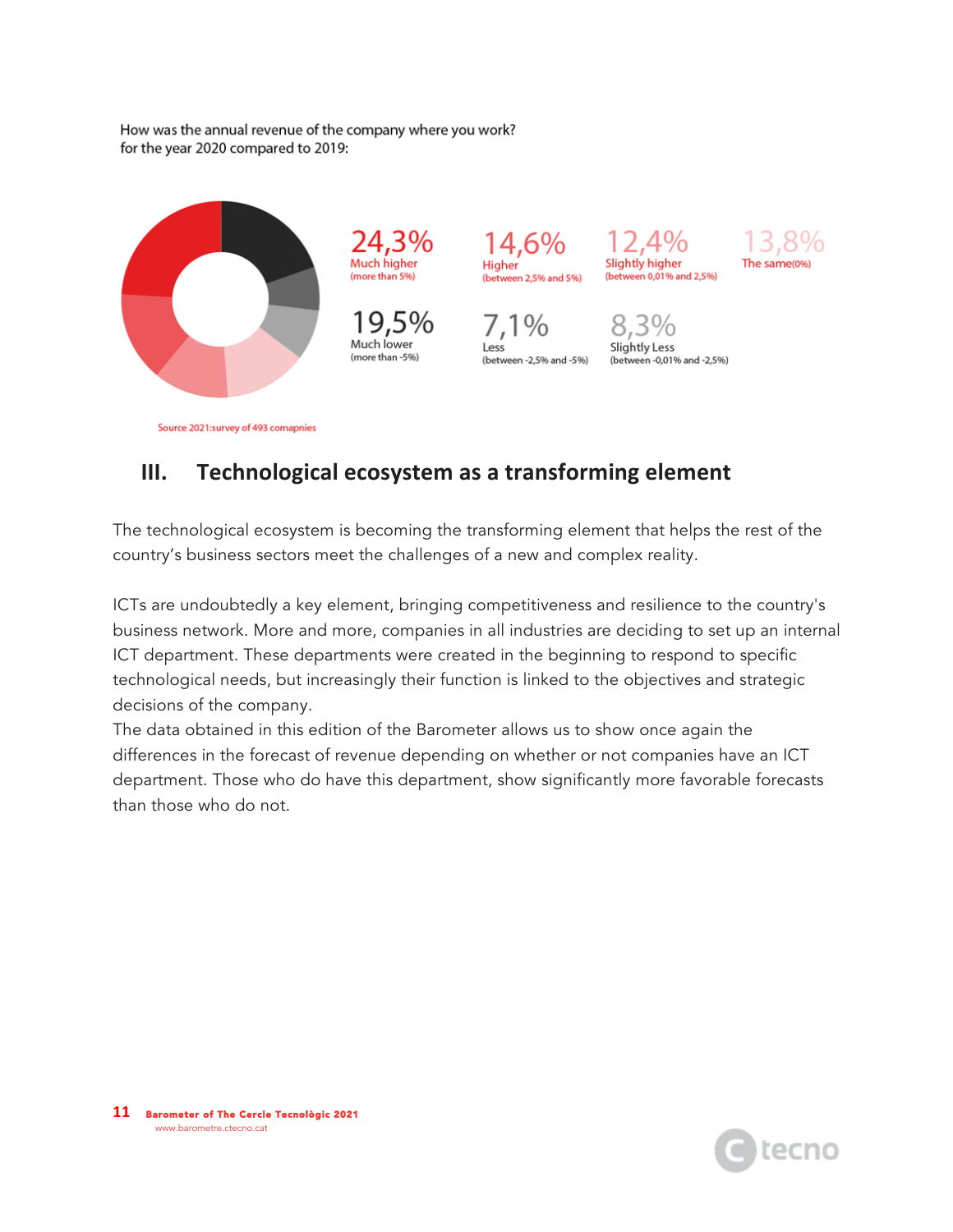How was the annual revenue of the company where you work? for the year 2020 compared to 2019:



## **III.** Technological ecosystem as a transforming element

The technological ecosystem is becoming the transforming element that helps the rest of the country's business sectors meet the challenges of a new and complex reality.

ICTs are undoubtedly a key element, bringing competitiveness and resilience to the country's business network. More and more, companies in all industries are deciding to set up an internal ICT department. These departments were created in the beginning to respond to specific technological needs, but increasingly their function is linked to the objectives and strategic decisions of the company.

The data obtained in this edition of the Barometer allows us to show once again the differences in the forecast of revenue depending on whether or not companies have an ICT department. Those who do have this department, show significantly more favorable forecasts than those who do not.

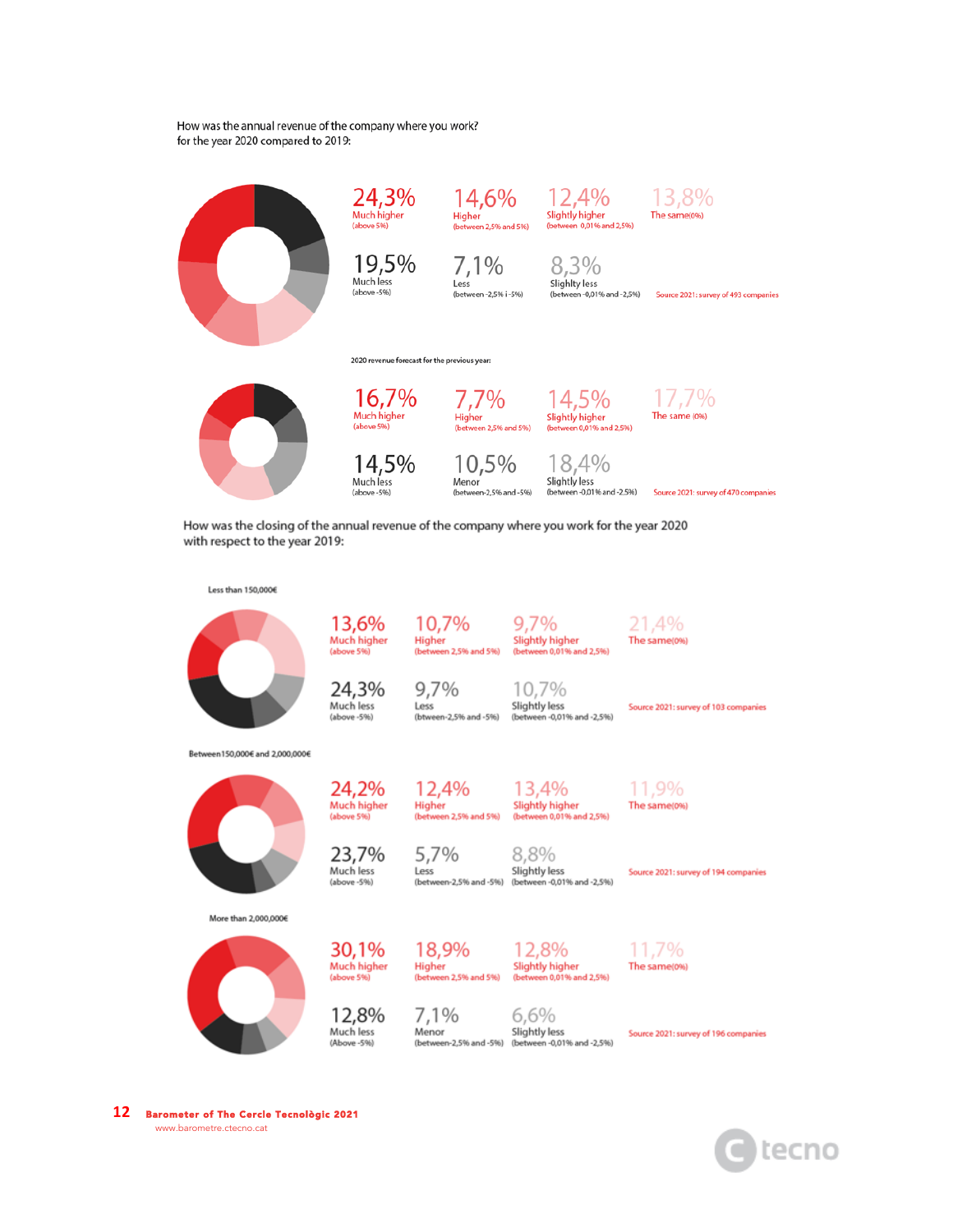How was the annual revenue of the company where you work? for the year 2020 compared to 2019:



How was the closing of the annual revenue of the company where you work for the year 2020 with respect to the year 2019:



**12** Barometer of The Cercle Tecnològic 2021 www.barometre.ctecno.cat

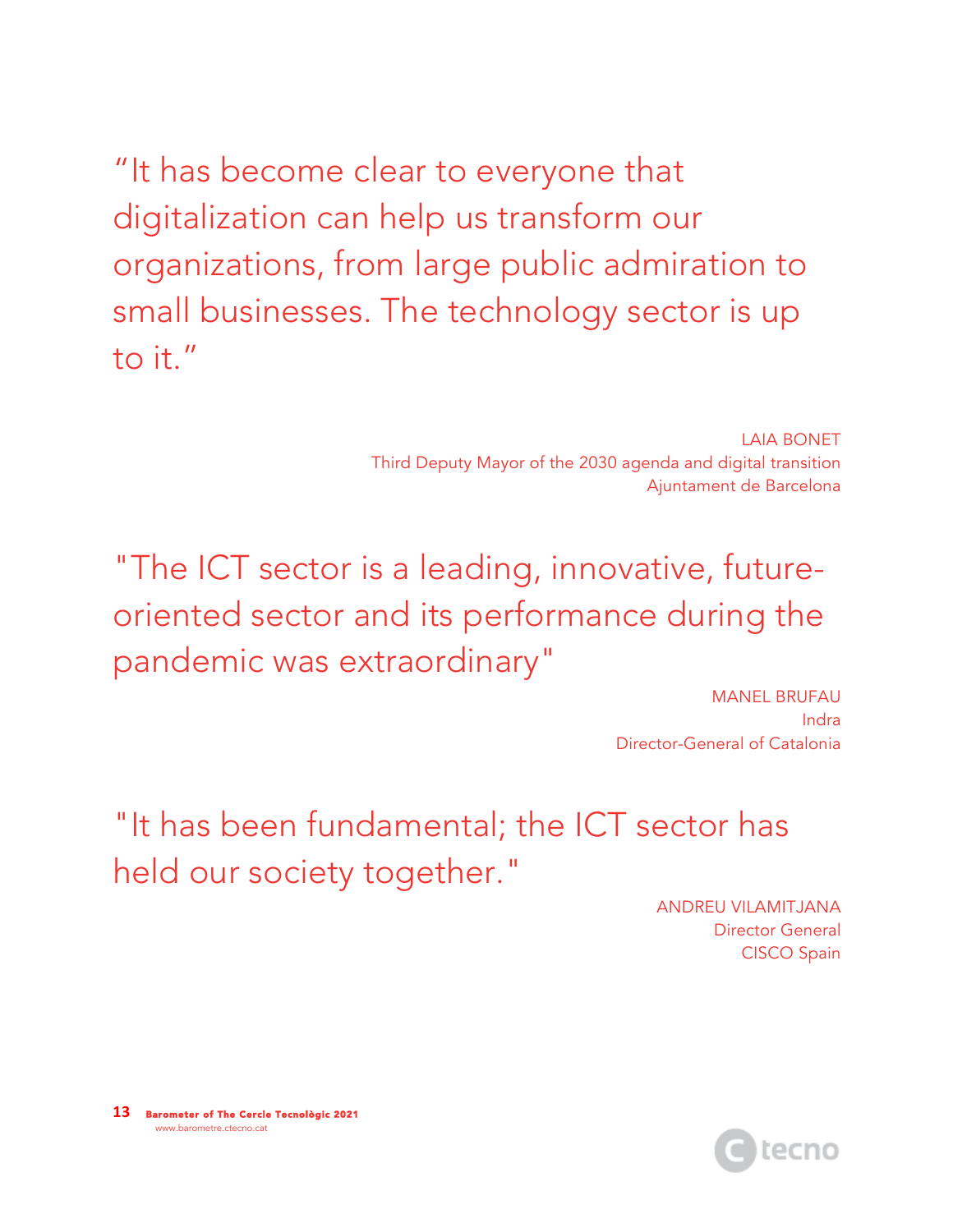"It has become clear to everyone that digitalization can help us transform our organizations, from large public admiration to small businesses. The technology sector is up to it."

> LAIA BONET Third Deputy Mayor of the 2030 agenda and digital transition Ajuntament de Barcelona

"The ICT sector is a leading, innovative, futureoriented sector and its performance during the pandemic was extraordinary"

> MANEL BRUFAU Indra Director-General of Catalonia

"It has been fundamental; the ICT sector has held our society together."

> ANDREU VILAMITJANA Director General CISCO Spain

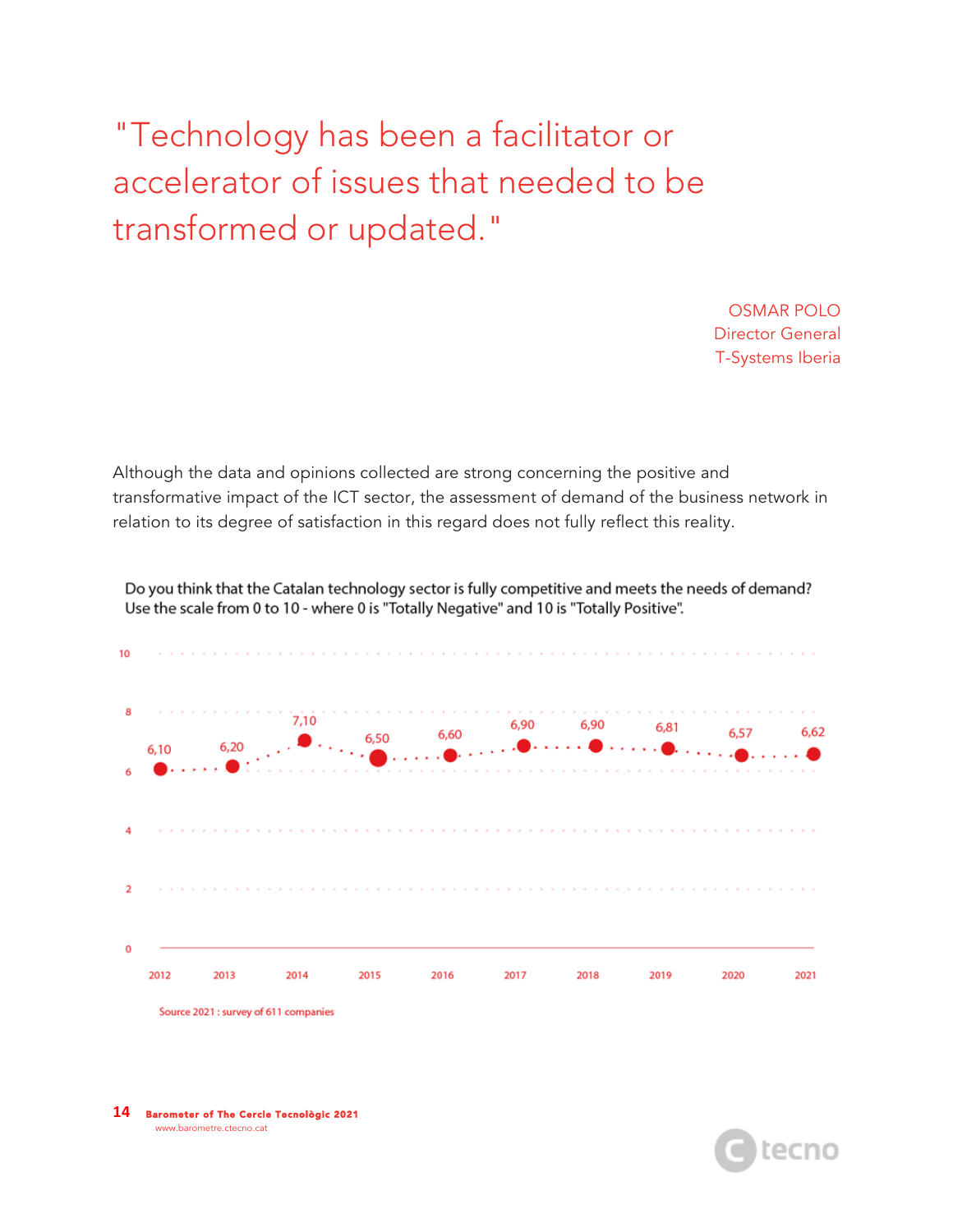"Technology has been a facilitator or accelerator of issues that needed to be transformed or updated."

> OSMAR POLO Director General T-Systems Iberia

Although the data and opinions collected are strong concerning the positive and transformative impact of the ICT sector, the assessment of demand of the business network in relation to its degree of satisfaction in this regard does not fully reflect this reality.



Do you think that the Catalan technology sector is fully competitive and meets the needs of demand? Use the scale from 0 to 10 - where 0 is "Totally Negative" and 10 is "Totally Positive".

**14** Barometer of The Cercle Tecnològic 2021 www.barometre.ctecno.cat

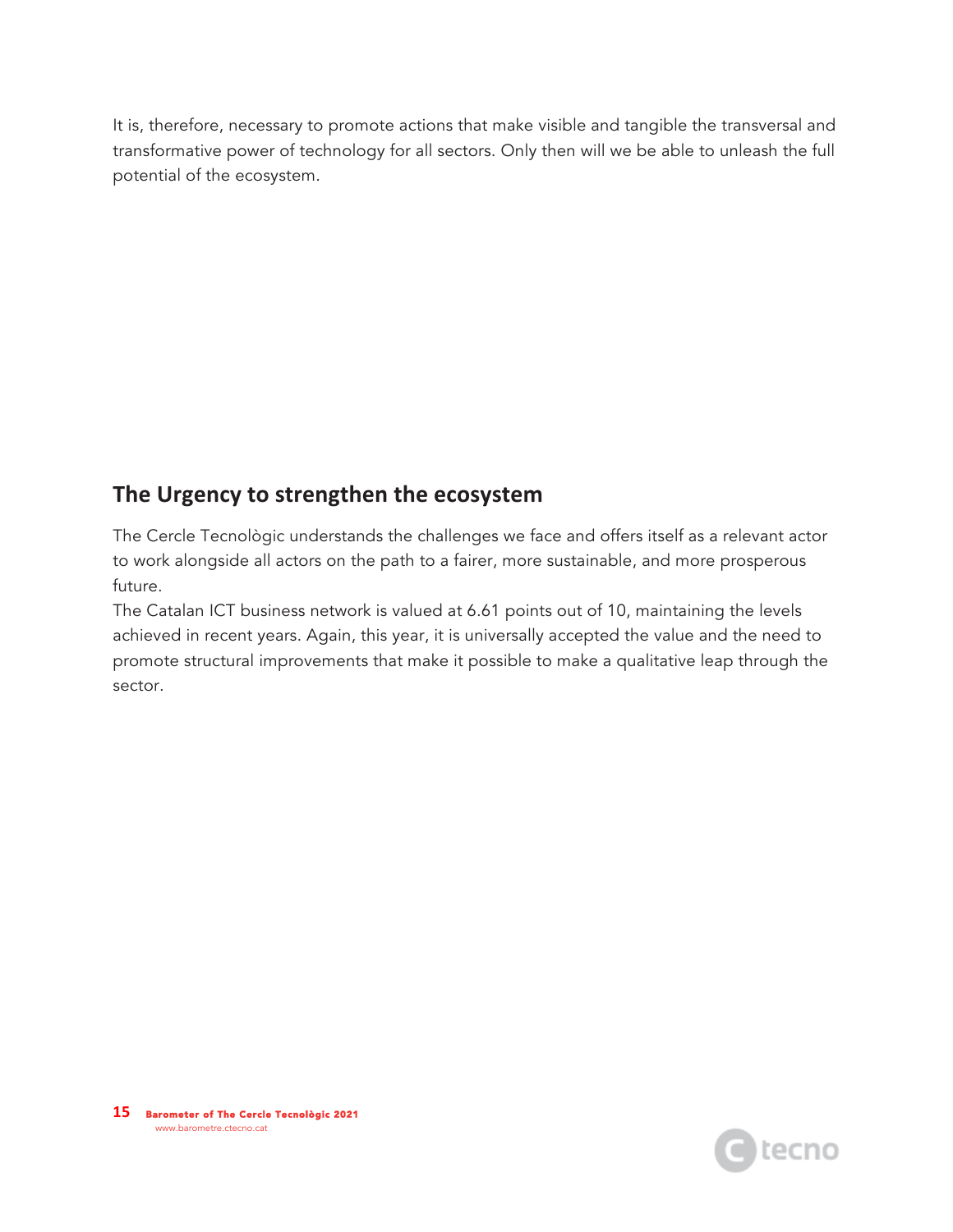It is, therefore, necessary to promote actions that make visible and tangible the transversal and transformative power of technology for all sectors. Only then will we be able to unleash the full potential of the ecosystem.

### The Urgency to strengthen the ecosystem

The Cercle Tecnològic understands the challenges we face and offers itself as a relevant actor to work alongside all actors on the path to a fairer, more sustainable, and more prosperous future.

The Catalan ICT business network is valued at 6.61 points out of 10, maintaining the levels achieved in recent years. Again, this year, it is universally accepted the value and the need to promote structural improvements that make it possible to make a qualitative leap through the sector.